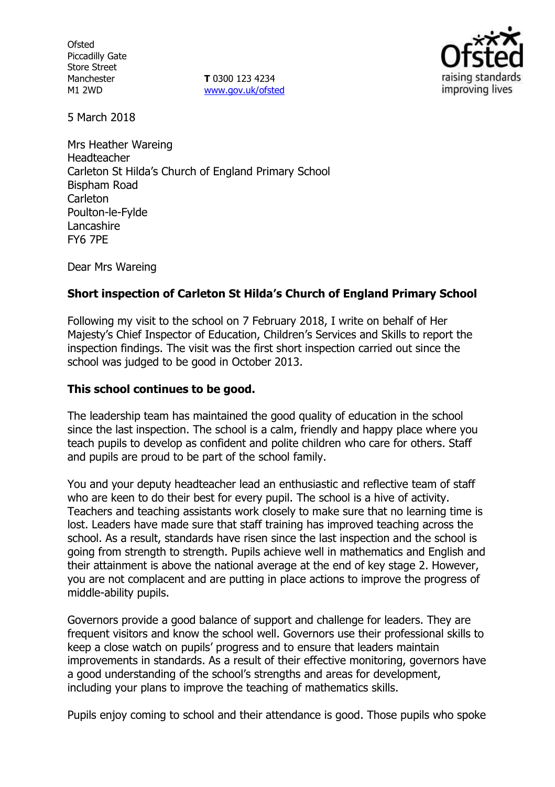**Ofsted** Piccadilly Gate Store Street Manchester M1 2WD

**T** 0300 123 4234 www.gov.uk/ofsted



5 March 2018

Mrs Heather Wareing Headteacher Carleton St Hilda's Church of England Primary School Bispham Road Carleton Poulton-le-Fylde Lancashire FY6 7PE

Dear Mrs Wareing

### **Short inspection of Carleton St Hilda's Church of England Primary School**

Following my visit to the school on 7 February 2018, I write on behalf of Her Majesty's Chief Inspector of Education, Children's Services and Skills to report the inspection findings. The visit was the first short inspection carried out since the school was judged to be good in October 2013.

### **This school continues to be good.**

The leadership team has maintained the good quality of education in the school since the last inspection. The school is a calm, friendly and happy place where you teach pupils to develop as confident and polite children who care for others. Staff and pupils are proud to be part of the school family.

You and your deputy headteacher lead an enthusiastic and reflective team of staff who are keen to do their best for every pupil. The school is a hive of activity. Teachers and teaching assistants work closely to make sure that no learning time is lost. Leaders have made sure that staff training has improved teaching across the school. As a result, standards have risen since the last inspection and the school is going from strength to strength. Pupils achieve well in mathematics and English and their attainment is above the national average at the end of key stage 2. However, you are not complacent and are putting in place actions to improve the progress of middle-ability pupils.

Governors provide a good balance of support and challenge for leaders. They are frequent visitors and know the school well. Governors use their professional skills to keep a close watch on pupils' progress and to ensure that leaders maintain improvements in standards. As a result of their effective monitoring, governors have a good understanding of the school's strengths and areas for development, including your plans to improve the teaching of mathematics skills.

Pupils enjoy coming to school and their attendance is good. Those pupils who spoke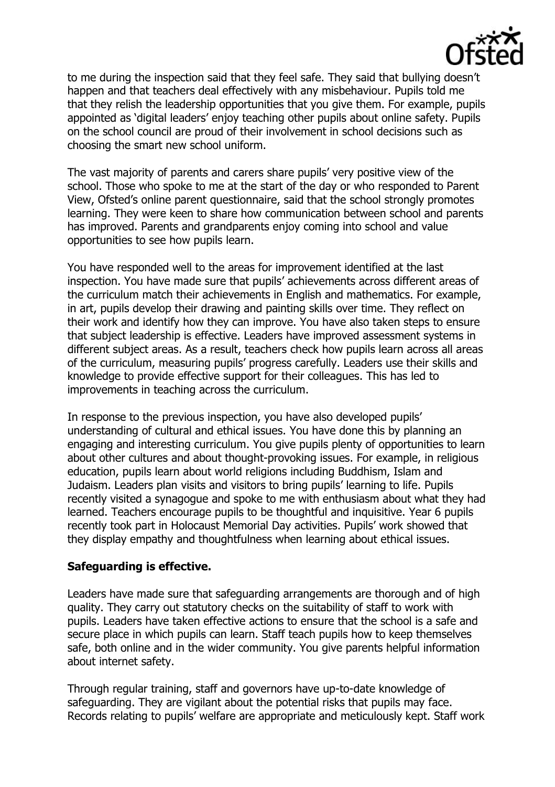

to me during the inspection said that they feel safe. They said that bullying doesn't happen and that teachers deal effectively with any misbehaviour. Pupils told me that they relish the leadership opportunities that you give them. For example, pupils appointed as 'digital leaders' enjoy teaching other pupils about online safety. Pupils on the school council are proud of their involvement in school decisions such as choosing the smart new school uniform.

The vast majority of parents and carers share pupils' very positive view of the school. Those who spoke to me at the start of the day or who responded to Parent View, Ofsted's online parent questionnaire, said that the school strongly promotes learning. They were keen to share how communication between school and parents has improved. Parents and grandparents enjoy coming into school and value opportunities to see how pupils learn.

You have responded well to the areas for improvement identified at the last inspection. You have made sure that pupils' achievements across different areas of the curriculum match their achievements in English and mathematics. For example, in art, pupils develop their drawing and painting skills over time. They reflect on their work and identify how they can improve. You have also taken steps to ensure that subject leadership is effective. Leaders have improved assessment systems in different subject areas. As a result, teachers check how pupils learn across all areas of the curriculum, measuring pupils' progress carefully. Leaders use their skills and knowledge to provide effective support for their colleagues. This has led to improvements in teaching across the curriculum.

In response to the previous inspection, you have also developed pupils' understanding of cultural and ethical issues. You have done this by planning an engaging and interesting curriculum. You give pupils plenty of opportunities to learn about other cultures and about thought-provoking issues. For example, in religious education, pupils learn about world religions including Buddhism, Islam and Judaism. Leaders plan visits and visitors to bring pupils' learning to life. Pupils recently visited a synagogue and spoke to me with enthusiasm about what they had learned. Teachers encourage pupils to be thoughtful and inquisitive. Year 6 pupils recently took part in Holocaust Memorial Day activities. Pupils' work showed that they display empathy and thoughtfulness when learning about ethical issues.

#### **Safeguarding is effective.**

Leaders have made sure that safeguarding arrangements are thorough and of high quality. They carry out statutory checks on the suitability of staff to work with pupils. Leaders have taken effective actions to ensure that the school is a safe and secure place in which pupils can learn. Staff teach pupils how to keep themselves safe, both online and in the wider community. You give parents helpful information about internet safety.

Through regular training, staff and governors have up-to-date knowledge of safeguarding. They are vigilant about the potential risks that pupils may face. Records relating to pupils' welfare are appropriate and meticulously kept. Staff work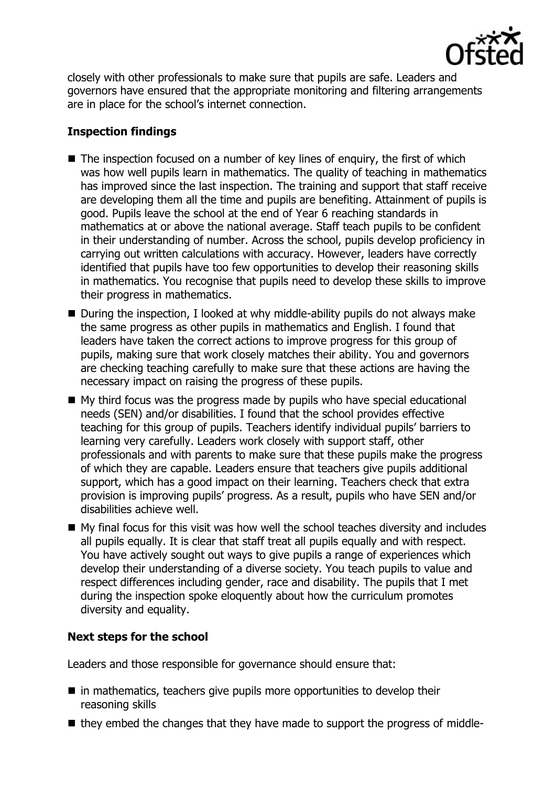

closely with other professionals to make sure that pupils are safe. Leaders and governors have ensured that the appropriate monitoring and filtering arrangements are in place for the school's internet connection.

# **Inspection findings**

- $\blacksquare$  The inspection focused on a number of key lines of enquiry, the first of which was how well pupils learn in mathematics. The quality of teaching in mathematics has improved since the last inspection. The training and support that staff receive are developing them all the time and pupils are benefiting. Attainment of pupils is good. Pupils leave the school at the end of Year 6 reaching standards in mathematics at or above the national average. Staff teach pupils to be confident in their understanding of number. Across the school, pupils develop proficiency in carrying out written calculations with accuracy. However, leaders have correctly identified that pupils have too few opportunities to develop their reasoning skills in mathematics. You recognise that pupils need to develop these skills to improve their progress in mathematics.
- During the inspection, I looked at why middle-ability pupils do not always make the same progress as other pupils in mathematics and English. I found that leaders have taken the correct actions to improve progress for this group of pupils, making sure that work closely matches their ability. You and governors are checking teaching carefully to make sure that these actions are having the necessary impact on raising the progress of these pupils.
- My third focus was the progress made by pupils who have special educational needs (SEN) and/or disabilities. I found that the school provides effective teaching for this group of pupils. Teachers identify individual pupils' barriers to learning very carefully. Leaders work closely with support staff, other professionals and with parents to make sure that these pupils make the progress of which they are capable. Leaders ensure that teachers give pupils additional support, which has a good impact on their learning. Teachers check that extra provision is improving pupils' progress. As a result, pupils who have SEN and/or disabilities achieve well.
- $\blacksquare$  My final focus for this visit was how well the school teaches diversity and includes all pupils equally. It is clear that staff treat all pupils equally and with respect. You have actively sought out ways to give pupils a range of experiences which develop their understanding of a diverse society. You teach pupils to value and respect differences including gender, race and disability. The pupils that I met during the inspection spoke eloquently about how the curriculum promotes diversity and equality.

# **Next steps for the school**

Leaders and those responsible for governance should ensure that:

- $\blacksquare$  in mathematics, teachers give pupils more opportunities to develop their reasoning skills
- they embed the changes that they have made to support the progress of middle-